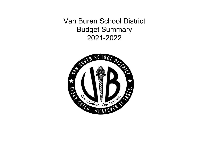Van Buren School District Budget Summary 2021-2022

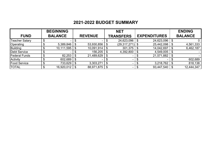# **2021-2022 BUDGET SUMMARY**

|                       | <b>BEGINNING</b> |                |    | <b>NET</b>        |                     |      | <b>ENDING</b>  |
|-----------------------|------------------|----------------|----|-------------------|---------------------|------|----------------|
| <b>FUND</b>           | <b>BALANCE</b>   | <b>REVENUE</b> |    | <b>TRANSFERS</b>  | <b>EXPENDITURES</b> |      | <b>BALANCE</b> |
| <b>Teacher Salary</b> |                  |                |    | 24,623,096        | 24,623,096          |      |                |
| Operating             | 5,389,846        | 53,930,856     | \$ | $(29,317,271)$ \$ | 25,442,098          | \$   | 4,561,333      |
| Building              | 10,111,595       | 10,091,914     | Ъ  | 301,375           | 14,042,697          |      | 6,462,187      |
| <b>Debt Service</b>   |                  | 156,205        |    | 4,392,800         | 4,549,005           | \$   |                |
| <b>Federal Funds</b>  | 82,253           | 21,489,629     | S. |                   | 21,571,882          | - \$ |                |
| <b>Activity</b>       | 602,689          | $\sim$         |    | ۰                 |                     |      | 602,689        |
| <b>Food Service</b>   | 733,629          | 3,303,271      | \$ |                   | 3,218,762           | \$   | 818,138        |
| <b>TOTAL</b>          | 16,920,012       | 88,971,875     |    | ۰                 | 93,447,540          | \$   | 12,444,347     |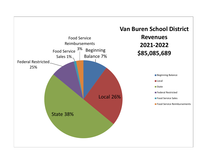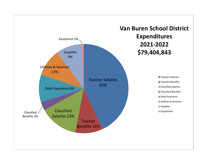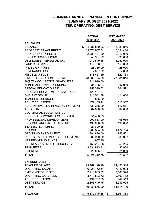### **SUMMARY ANNUAL FINANCIAL REPORT 2020-21 SUMMARY BUDGET 2021-2022 (TSF, OPERATING, DEBT SERVICE)**

|                                   | <b>ACTUAL</b>      | <b>ESTIMATED</b> |
|-----------------------------------|--------------------|------------------|
|                                   | 2020-2021          | 2021-2022        |
| <b>REVENUES</b>                   |                    |                  |
| <b>BALANCE</b>                    | \$<br>4,987,839.03 | \$<br>5,389,846  |
| PROPERTY TAX-CURRENT              | 15,578,687.74      | 16,894,404       |
| PROPERTY TAX-RELIEF               | 2,281,444.99       | 2,310,000        |
| <b>EXCESS COMMISSIONS</b>         | 43,931.22          | 30,000           |
| DELINQUENT PERSONAL TAX           | 1,242,549.45       | 1,250,000        |
| <b>LAND REDEMPTION</b>            | 119,706.87         | 150,000          |
| IN LIEU OF TAXES                  | 28,385.09          | 28,000           |
| <b>SEVERANCE TAX</b>              | 7,057.62           | 7,000            |
| <b>MISCELLANEOUS</b>              | 843,461.59         | 822,763          |
| <b>STATE FOUNDATION FUNDING</b>   | 28,069,774.00      | 27,081,016       |
| 98% TAX COLLECTION GUARANTEE      | 211,920.00         |                  |
| NON TRADITIONAL LICENSING         | 34,795.84          | 47,000           |
| <b>SPECIAL EDUCATION AID</b>      | 252,399.72         | 244,571          |
| SPECIAL EDUCATION -CATASTROPHIC   | 120, 187.87        |                  |
| <b>DHS-PAT GRANT</b>              | 111,541.78         | 111,000          |
| <b>TEACHER LICENSURE</b>          | 3,825.00           |                  |
| <b>ADULT EDUCATION</b>            | 472,165.24         | 512,967          |
| ALTERNATIVE LEARNING ENVIRONMENT  | 638,365.00         | 617,537          |
| <b>ABC GRANT</b>                  | 507,000.00         | 507,000          |
| <b>VOCATIONAL EDUCATION AID</b>   |                    |                  |
| <b>SECONDARY WORKFORCE CENTER</b> | 51,458.39          |                  |
| PROFESSIONAL DEVELOPMENT          | 202,653.00         | 195,059          |
| <b>ENGLISH LANGUAGE LEARNERS</b>  | 195,008.00         | 195,008          |
| ESA (NSL) MATCHING                | 21,820.25          |                  |
| ESA (NSL)                         | 1,766,834.00       | 1,474,704        |
| <b>DECLINING ENROLLMENT</b>       | 294,826.00         | 757,521          |
| DEBT SERVICE FUNDING SUPPLEMENT   | 383,920.00         | 339,097          |
| <b>NET REMAINING FUNDS</b>        | 4,907.35           |                  |
| US TREASURY-INTEREST SUBSIDY      | 156,204.68         | 156,205          |
| <b>TRANSFERS</b>                  | (3,334,813.31)     | 30,834           |
| <b>INTEREST</b>                   | 26,556.34          | 24,000           |
| <b>TOTAL</b>                      | 55,324,412.75      | 59,175,532       |
| <b>EXPENDITURES</b>               |                    |                  |
| <b>TEACHER SALARY</b>             | 23, 167, 198. 28   | 24,493,568       |
| <b>OPERATING SALARY</b>           | 6,921,762.54       | 7,040,003        |
| <b>EMPLOYEE BENEFITS</b>          | 7,713,885.02       | 8,188,328        |
| <b>OPERATING EXPENSES</b>         | 8,770,503.72       | 9,800,782        |
| <b>ADULT EDUCATION</b>            | 494,767.59         | 542,513          |
| <b>DEBT SERVICE</b>               | 2,866,449.75       | 4,549,005        |
| <b>TOTAL</b>                      | 49,934,566.90      | 54,614,199       |
| <b>BALANCE</b>                    | \$<br>5,389,845.85 | \$<br>4,561,333  |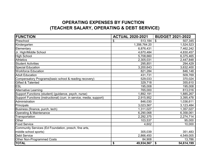## **OPERATING EXPENSES BY FUNCTION (TEACHER SALARY, OPERATING & DEBT SERVICE)**

| <b>FUNCTION</b>                                                      | <b>ACTUAL 2020-2021</b> | <b>BUDGET 2021-2022</b> |  |  |
|----------------------------------------------------------------------|-------------------------|-------------------------|--|--|
| Preschool                                                            | \$<br>513,184           | \$<br>507,345           |  |  |
| Kindergarten                                                         | 1,356,764.20            | 1,524,523               |  |  |
| Elementary                                                           | 6,876,431               | 7,462,242               |  |  |
| Jr. High/Middle School                                               | 4,670,484               | 4,830,457               |  |  |
| <b>High School</b>                                                   | 5,708,660               | 6,375,465               |  |  |
| <b>Athletics</b>                                                     | 2,305,031               | 2,447,848               |  |  |
| <b>Student Activities</b>                                            | 295,851                 | 294,429                 |  |  |
| <b>Special Education</b>                                             | 3,200,643               | 3,632,400               |  |  |
| <b>Workforce Education</b>                                           | 821,284                 | 846,148                 |  |  |
| <b>Adult Education</b>                                               | 431,731                 | 509,769                 |  |  |
| Compensatory Programs(basic school & reading recovery)               | 529,033                 | 370,024                 |  |  |
| Gifted & Talented                                                    | 329,718                 | 355,610                 |  |  |
| <b>ESL</b>                                                           | 195,008                 | 195,008                 |  |  |
| <b>Alternative Learning</b>                                          | 765,000                 | 813,016                 |  |  |
| Support Functions (student) (guidance, psych, nurse)                 | 1,892,191               | 1,885,267               |  |  |
| Support Functions (instructional) (curr, in service, media, support) | 2,915,952               | 3,395,478               |  |  |
| Administration                                                       | 846,030                 | 1,036,611               |  |  |
| Principals                                                           | 3,023,567               | 3,123,484               |  |  |
| Business (finance, purch, tech)                                      | 1,311,027               | 1,357,027               |  |  |
| Operating & Maintenance                                              | 6,290,068               | 6,358,061               |  |  |
| Transportation                                                       | 2,292,375               | 2,274,714               |  |  |
| Other                                                                | 103,537                 | 95,000                  |  |  |
| <b>Food Service</b>                                                  | 4,602                   | 10,000                  |  |  |
| Community Services (Ed Foundation, presch, fine arts,                |                         |                         |  |  |
| middle school sports)                                                | 305,039                 | 351,483                 |  |  |
| <b>Debt Service</b>                                                  | 2,866,450               | 4,549,005               |  |  |
| Other Non-Programmed Costs                                           | 84,908                  | 13,786                  |  |  |
| <b>TOTAL</b>                                                         | \$<br>49,934,567        | \$<br>54,614,199        |  |  |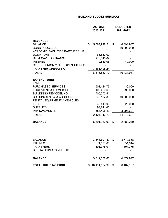#### **BUILDING BUDGET SUMMARY**

|                                                                                                                                                                                                                                                                                        | <b>ACTUAL</b><br>2020-2021                                                                                   | <b>BUDGETED</b><br>2021-2022                                         |
|----------------------------------------------------------------------------------------------------------------------------------------------------------------------------------------------------------------------------------------------------------------------------------------|--------------------------------------------------------------------------------------------------------------|----------------------------------------------------------------------|
| <b>REVENUES</b><br><b>BALANCE</b><br><b>BOND PROCEEDS</b><br><b>ACADEMIC FACILITIES PARTNERSHIP</b><br><b>DONATIONS</b><br>DEBT SAVINGS TRANSFER<br><b>INTEREST</b><br>REFUND PRIOR YEAR EXPENDITURES<br>TRANSFER-OPERATING<br><b>TOTAL</b>                                            | \$<br>5,567,998.24<br>65,550.00<br>(10,048.82)<br>9,889.06<br>3,183,495.24<br>8,816,883.72                   | \$<br>6,391,937<br>10,000,000<br>40,000<br>16,431,937                |
| <b>EXPENDITURES</b><br>LAND<br><b>PURCHASED SERVICES</b><br><b>EQUIPMENT &amp; FURNITURE</b><br><b>BUILDINGS-REMODELING</b><br><b>BUILDINGS-NEW &amp; ADDITIONS</b><br><b>RENTAL-EQUIPMENT &amp; VEHICLES</b><br><b>FEES</b><br><b>SUPPLIES</b><br><b>IMPROVEMENTS</b><br><b>TOTAL</b> | 501,424.73<br>108,460.69<br>705,272.51<br>379,132.86<br>49,419.00<br>97,741.45<br>583,495.49<br>2,424,946.73 | 30,000<br>690,000<br>10,000,000<br>25,000<br>3,297,697<br>14,042,697 |
| <b>BALANCE</b>                                                                                                                                                                                                                                                                         | 6,391,936.99                                                                                                 | \$<br>2,389,240                                                      |
| BALANCE<br><b>INTEREST</b><br>TRANSFERS<br>SINKING FUND PAYMENTS                                                                                                                                                                                                                       | 3,343,691.39<br>74,591.60<br>301,375.01                                                                      | \$<br>3,719,658<br>51,914<br>301,375                                 |
| <b>BALANCE</b>                                                                                                                                                                                                                                                                         | 3,719,658.00                                                                                                 | 4,072,947                                                            |
| TOTAL BUILDING FUND                                                                                                                                                                                                                                                                    | \$<br>10,111,594.99                                                                                          | \$<br>6,462,187                                                      |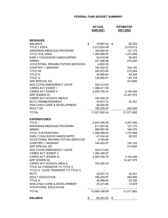#### **FEDERAL FUND BUDGET SUMMARY**

|                                           | <b>ACTUAL</b><br>2020-2021 | <b>ESTIMATED</b><br>2021-2022 |
|-------------------------------------------|----------------------------|-------------------------------|
| <b>REVENUES</b>                           |                            |                               |
| <b>BALANCE</b>                            | \$<br>79,897.93            | \$<br>82,253                  |
| TITLE I, ESEA                             | 2,073,824.08               | 2,078,813                     |
| ARKANSAS MEDICAID PROGRAM                 | 160,684.94                 | 127,175                       |
| TITLE VI-B, ESEA                          | 1,395,999.83               | 1,270,569                     |
| EARLY CHILDHOOD HANDICAPPED               | 54,518.48                  | 59,303                        |
| <b>ARMAC</b>                              | 337,486.96                 | 275,000                       |
| <b>VOCATIONAL REHABILITATION SERVICES</b> | 4,800.00                   |                               |
| <b>CHAPTER 1, MIGRANT</b>                 | 144,452.67                 | 104,145                       |
| <b>TITLE IIA</b>                          | 240,675.90                 | 274,564                       |
| <b>TITLE III</b>                          | 36,998.64                  | 82,326                        |
| <b>TITLE IV</b>                           | 128,956.61                 | 144,149                       |
| <b>ARP SPECIAL ED</b>                     |                            | 314,805                       |
| ADE-COVID EMERGENCY LEAVE                 | 330,512.83                 |                               |
| <b>CARES ACT ESSER I</b>                  | 1,388,411.58               |                               |
| <b>CARES ACT ESSER II</b>                 | 4,209,780.76               | 2,169,499                     |
| ARP (ESSER III)                           |                            | 14,347,975                    |
| CARES ACT-SCHOOL MEALS                    | 183,495.24                 |                               |
| <b>ROTC REIMBURSEMENT</b>                 | 35,974.72                  | 40,351                        |
| DHS-CHILD CARE & DEVELOPMENT              | 36,000.00                  |                               |
| <b>ADULT ED</b>                           | 185,220.87                 | 200,956                       |
| <b>TOTAL</b>                              | 11,027,692.04              | 21,571,882                    |
| <b>EXPENDITURES</b>                       |                            |                               |
| <b>TITLE I</b>                            | 2,443,456.59               | 2,497,526                     |
| ARKANSAS MEDICAID PROGRAM                 | 217,907.93                 | 127,175                       |
| <b>ARMAC</b>                              | 288,587.00                 | 346,575                       |
| <b>TITLE VI-B PASSTHRU</b>                | 1,395,999.83               | 1,270,569                     |
| EARLY CHILDHOOD HANDICAPPD                | 47,434.40                  | 59,303                        |
| <b>VOCATIONAL REHABILITATION SERVICES</b> | 4,799.99                   |                               |
| <b>CHAPTER 1, MIGRANT</b>                 | 144,452.67                 | 104,145                       |
| <b>ARP SPECIAL ED</b>                     |                            | 314,805                       |
| ADE COVID EMERGENCY LEAVE                 | 330,512.83                 |                               |
| CARES ACT (ESSER I)                       | 1,395,495.67               |                               |
| <b>CARES ACT (ESSER II)</b>               | 4,209,780.75               | 2,169,499                     |
| ARP (ESSER III)                           |                            | 14,347,975                    |
| CARES ACT-SCHOOL MEALS                    | 183,495.24                 |                               |
| TITLE IIA (TRANSFER TO TITLE I)           |                            |                               |
| TITLE IV (LESS TRANSFER TO TITLE I)       |                            |                               |
| <b>ROTC</b>                               | 35,974.72                  | 40,351                        |
| <b>ADULT EDUCATION</b>                    | 185,220.87                 | 200,956                       |
| <b>TITLE III</b>                          | 36,998.64                  | 82,326                        |
| DHS-CHILD CARE & DEVELOPMENT              | 25,321.86                  | 10,678                        |
| <b>VOCATIONAL EDUCATION</b>               |                            |                               |
| <b>TOTAL</b>                              | 10,945,438.99              | 21,571,882                    |
| <b>BALANCE</b>                            | \$<br>82,253.05            | \$                            |